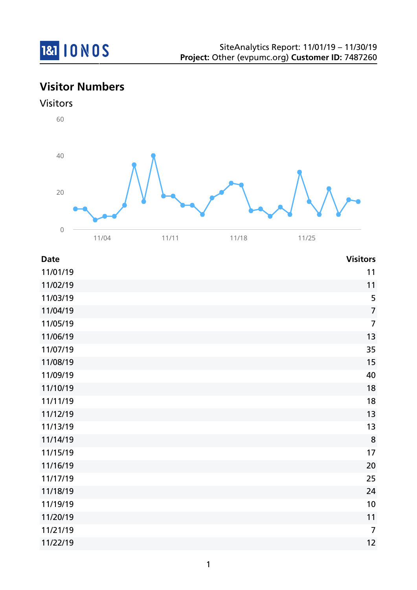

# **Visitor Numbers**





| <b>Date</b> | <b>Visitors</b> |
|-------------|-----------------|
| 11/01/19    | 11              |
| 11/02/19    | 11              |
| 11/03/19    | 5               |
| 11/04/19    | $\overline{7}$  |
| 11/05/19    | $\overline{7}$  |
| 11/06/19    | 13              |
| 11/07/19    | 35              |
| 11/08/19    | 15              |
| 11/09/19    | 40              |
| 11/10/19    | 18              |
| 11/11/19    | 18              |
| 11/12/19    | 13              |
| 11/13/19    | 13              |
| 11/14/19    | 8               |
| 11/15/19    | 17              |
| 11/16/19    | 20              |
| 11/17/19    | 25              |
| 11/18/19    | 24              |
| 11/19/19    | 10              |
| 11/20/19    | 11              |
| 11/21/19    | $\overline{7}$  |
| 11/22/19    | 12              |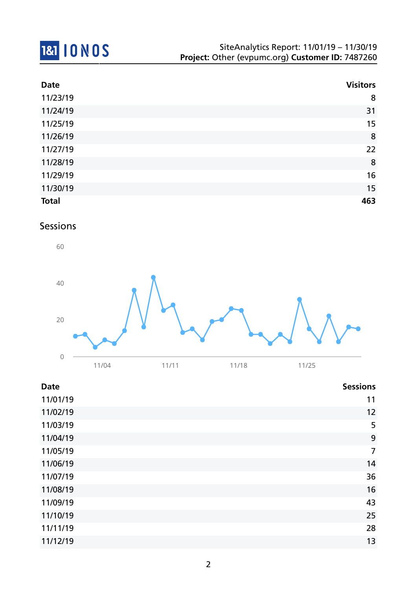

| <b>Date</b>  | <b>Visitors</b> |
|--------------|-----------------|
| 11/23/19     | 8               |
| 11/24/19     | 31              |
| 11/25/19     | 15              |
| 11/26/19     | 8               |
| 11/27/19     | 22              |
| 11/28/19     | 8               |
| 11/29/19     | 16              |
| 11/30/19     | 15              |
| <b>Total</b> | 463             |

### Sessions



| <b>Date</b> | <b>Sessions</b> |
|-------------|-----------------|
| 11/01/19    | 11              |
| 11/02/19    | 12              |
| 11/03/19    | 5               |
| 11/04/19    | 9               |
| 11/05/19    | $\overline{7}$  |
| 11/06/19    | 14              |
| 11/07/19    | 36              |
| 11/08/19    | 16              |
| 11/09/19    | 43              |
| 11/10/19    | 25              |
| 11/11/19    | 28              |
| 11/12/19    | 13              |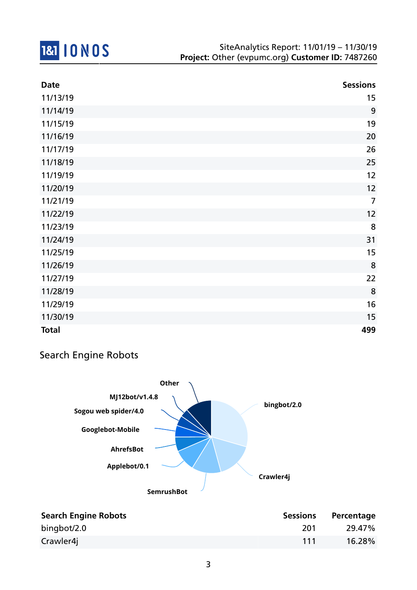

| <b>Date</b>  | <b>Sessions</b> |
|--------------|-----------------|
| 11/13/19     | 15              |
| 11/14/19     | 9               |
| 11/15/19     | 19              |
| 11/16/19     | 20              |
| 11/17/19     | 26              |
| 11/18/19     | 25              |
| 11/19/19     | 12              |
| 11/20/19     | 12              |
| 11/21/19     | $\overline{7}$  |
| 11/22/19     | 12              |
| 11/23/19     | 8               |
| 11/24/19     | 31              |
| 11/25/19     | 15              |
| 11/26/19     | 8               |
| 11/27/19     | 22              |
| 11/28/19     | 8               |
| 11/29/19     | 16              |
| 11/30/19     | 15              |
| <b>Total</b> | 499             |

### Search Engine Robots



| <b>Search Engine Robots</b> | <b>Sessions</b> | Percentage |
|-----------------------------|-----------------|------------|
| bingbot/2.0                 | 201             | 29.47%     |
| Crawler4j                   | 111             | $16.28\%$  |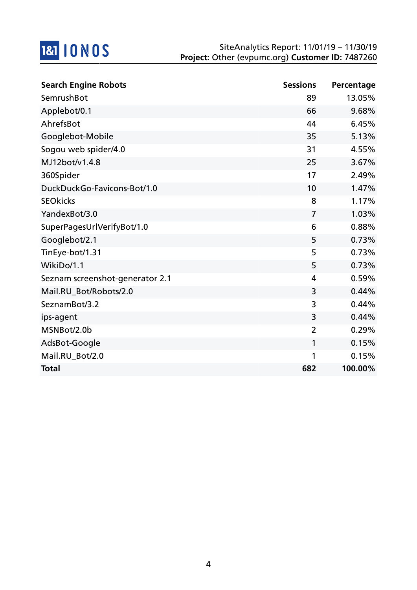

| <b>Search Engine Robots</b>     | <b>Sessions</b> | Percentage |
|---------------------------------|-----------------|------------|
| SemrushBot                      | 89              | 13.05%     |
| Applebot/0.1                    | 66              | 9.68%      |
| AhrefsBot                       | 44              | 6.45%      |
| Googlebot-Mobile                | 35              | 5.13%      |
| Sogou web spider/4.0            | 31              | 4.55%      |
| MJ12bot/v1.4.8                  | 25              | 3.67%      |
| 360Spider                       | 17              | 2.49%      |
| DuckDuckGo-Favicons-Bot/1.0     | 10              | 1.47%      |
| <b>SEOkicks</b>                 | 8               | 1.17%      |
| YandexBot/3.0                   | $\overline{7}$  | 1.03%      |
| SuperPagesUrlVerifyBot/1.0      | 6               | 0.88%      |
| Googlebot/2.1                   | 5               | 0.73%      |
| TinEye-bot/1.31                 | 5               | 0.73%      |
| WikiDo/1.1                      | 5               | 0.73%      |
| Seznam screenshot-generator 2.1 | 4               | 0.59%      |
| Mail.RU_Bot/Robots/2.0          | 3               | 0.44%      |
| SeznamBot/3.2                   | 3               | 0.44%      |
| ips-agent                       | 3               | 0.44%      |
| MSNBot/2.0b                     | $\overline{2}$  | 0.29%      |
| AdsBot-Google                   | 1               | 0.15%      |
| Mail.RU_Bot/2.0                 | 1               | 0.15%      |
| <b>Total</b>                    | 682             | 100.00%    |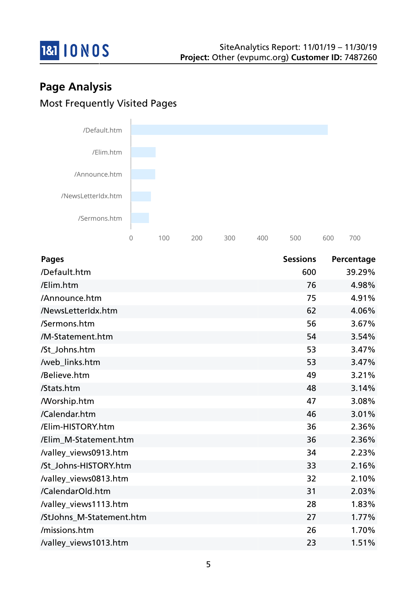

# **Page Analysis** Most Frequently Visited Pages



| <b>Pages</b>             | <b>Sessions</b> | Percentage |
|--------------------------|-----------------|------------|
| /Default.htm             | 600             | 39.29%     |
| /Elim.htm                | 76              | 4.98%      |
| /Announce.htm            | 75              | 4.91%      |
| /NewsLetterIdx.htm       | 62              | 4.06%      |
| /Sermons.htm             | 56              | 3.67%      |
| /M-Statement.htm         | 54              | 3.54%      |
| /St_Johns.htm            | 53              | 3.47%      |
| /web_links.htm           | 53              | 3.47%      |
| /Believe.htm             | 49              | 3.21%      |
| /Stats.htm               | 48              | 3.14%      |
| <b>Morship.htm</b>       | 47              | 3.08%      |
| /Calendar.htm            | 46              | 3.01%      |
| /Elim-HISTORY.htm        | 36              | 2.36%      |
| /Elim_M-Statement.htm    | 36              | 2.36%      |
| /valley_views0913.htm    | 34              | 2.23%      |
| /St Johns-HISTORY.htm    | 33              | 2.16%      |
| /valley_views0813.htm    | 32              | 2.10%      |
| /CalendarOld.htm         | 31              | 2.03%      |
| /valley_views1113.htm    | 28              | 1.83%      |
| /StJohns_M-Statement.htm | 27              | 1.77%      |
| /missions.htm            | 26              | 1.70%      |
| /valley_views1013.htm    | 23              | 1.51%      |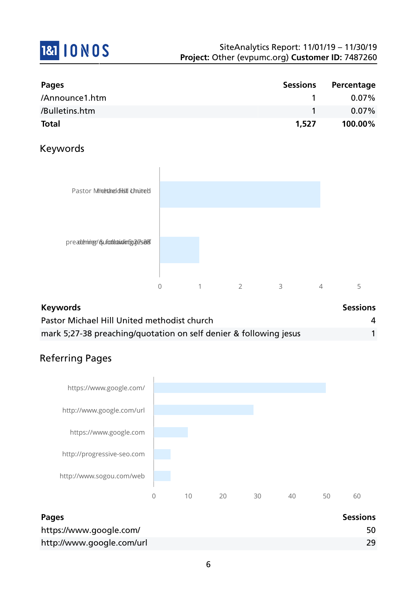

| <b>Pages</b>   | <b>Sessions</b> | Percentage |
|----------------|-----------------|------------|
| /Announce1.htm |                 | $0.07\%$   |
| /Bulletins.htm |                 | $0.07\%$   |
| <b>Total</b>   | 1,527           | 100.00%    |

### Keywords



| <b>Keywords</b>                                                   | <b>Sessions</b> |
|-------------------------------------------------------------------|-----------------|
| Pastor Michael Hill United methodist church                       |                 |
| mark 5;27-38 preaching/quotation on self denier & following jesus |                 |

## Referring Pages



| <b>Pages</b>              | <b>Sessions</b> |
|---------------------------|-----------------|
| https://www.google.com/   | 50              |
| http://www.google.com/url | 29              |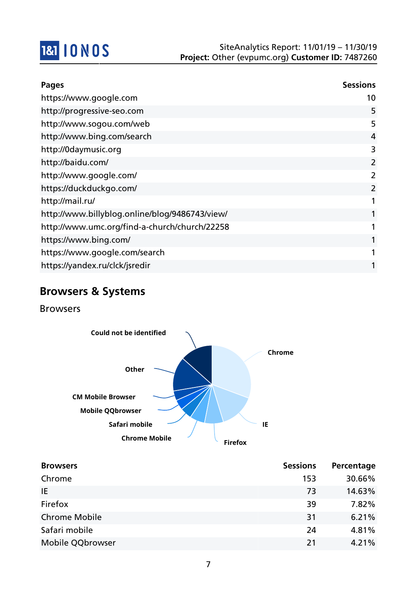

| <b>Pages</b>                                   | <b>Sessions</b> |
|------------------------------------------------|-----------------|
| https://www.google.com                         | 10              |
| http://progressive-seo.com                     | 5               |
| http://www.sogou.com/web                       | 5               |
| http://www.bing.com/search                     | 4               |
| http://0daymusic.org                           | 3               |
| http://baidu.com/                              | $\overline{2}$  |
| http://www.google.com/                         | $\overline{2}$  |
| https://duckduckgo.com/                        | $\overline{2}$  |
| http://mail.ru/                                |                 |
| http://www.billyblog.online/blog/9486743/view/ |                 |
| http://www.umc.org/find-a-church/church/22258  |                 |
| https://www.bing.com/                          |                 |
| https://www.google.com/search                  |                 |
| https://yandex.ru/clck/jsredir                 |                 |

## **Browsers & Systems**

Browsers



| <b>Browsers</b>      | <b>Sessions</b> | Percentage |
|----------------------|-----------------|------------|
| Chrome               | 153             | 30.66%     |
| IE.                  | 73              | 14.63%     |
| Firefox              | 39              | 7.82%      |
| <b>Chrome Mobile</b> | 31              | 6.21%      |
| Safari mobile        | 24              | 4.81%      |
| Mobile QQbrowser     | 21              | 4.21%      |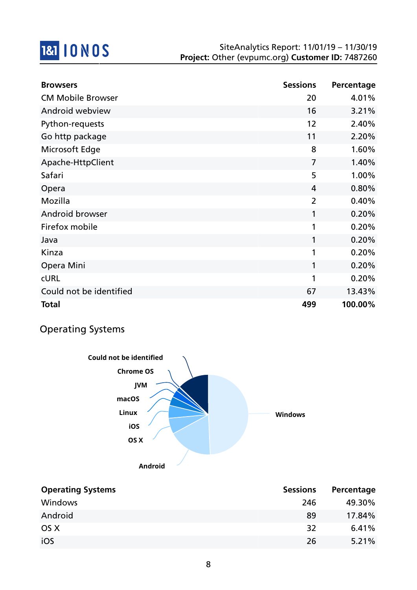

| <b>Browsers</b>          | <b>Sessions</b> | Percentage |
|--------------------------|-----------------|------------|
| <b>CM Mobile Browser</b> | 20              | 4.01%      |
| Android webview          | 16              | 3.21%      |
| Python-requests          | 12              | 2.40%      |
| Go http package          | 11              | 2.20%      |
| Microsoft Edge           | 8               | 1.60%      |
| Apache-HttpClient        | $\overline{7}$  | 1.40%      |
| Safari                   | 5               | 1.00%      |
| Opera                    | 4               | 0.80%      |
| Mozilla                  | $\overline{2}$  | 0.40%      |
| Android browser          | 1               | 0.20%      |
| Firefox mobile           | 1               | 0.20%      |
| Java                     | 1               | 0.20%      |
| Kinza                    | 1               | 0.20%      |
| Opera Mini               | 1               | 0.20%      |
| <b>CURL</b>              | 1               | 0.20%      |
| Could not be identified  | 67              | 13.43%     |
| <b>Total</b>             | 499             | 100.00%    |

## Operating Systems



| <b>Operating Systems</b> | <b>Sessions</b> | Percentage |
|--------------------------|-----------------|------------|
| Windows                  | 246             | 49.30%     |
| Android                  | 89              | 17.84%     |
| OS X                     | 32              | 6.41%      |
| iOS                      | 26              | 5.21%      |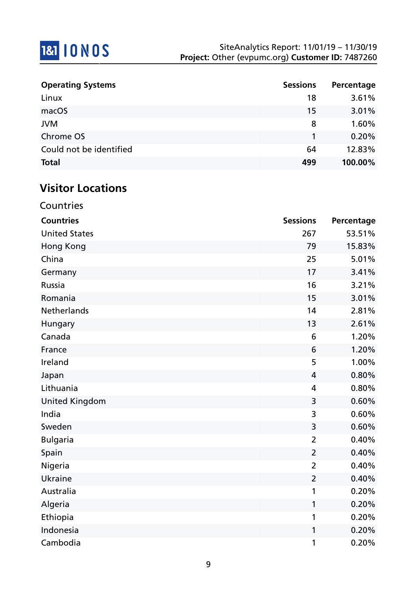

| <b>Operating Systems</b> | <b>Sessions</b> | Percentage |
|--------------------------|-----------------|------------|
| Linux                    | 18              | 3.61%      |
| macOS                    | 15              | 3.01%      |
| <b>JVM</b>               | 8               | 1.60%      |
| Chrome OS                |                 | 0.20%      |
| Could not be identified  | 64              | 12.83%     |
| <b>Total</b>             | 499             | 100.00%    |

# **Visitor Locations**

| Countries             |                 |            |
|-----------------------|-----------------|------------|
| <b>Countries</b>      | <b>Sessions</b> | Percentage |
| <b>United States</b>  | 267             | 53.51%     |
| <b>Hong Kong</b>      | 79              | 15.83%     |
| China                 | 25              | 5.01%      |
| Germany               | 17              | 3.41%      |
| <b>Russia</b>         | 16              | 3.21%      |
| Romania               | 15              | 3.01%      |
| <b>Netherlands</b>    | 14              | 2.81%      |
| Hungary               | 13              | 2.61%      |
| Canada                | 6               | 1.20%      |
| France                | 6               | 1.20%      |
| Ireland               | 5               | 1.00%      |
| Japan                 | 4               | 0.80%      |
| Lithuania             | 4               | 0.80%      |
| <b>United Kingdom</b> | 3               | 0.60%      |
| India                 | 3               | 0.60%      |
| Sweden                | 3               | 0.60%      |
| <b>Bulgaria</b>       | $\overline{2}$  | 0.40%      |
| Spain                 | $\overline{2}$  | 0.40%      |
| Nigeria               | $\overline{2}$  | 0.40%      |
| Ukraine               | $\overline{2}$  | 0.40%      |
| Australia             | 1               | 0.20%      |
| Algeria               | 1               | 0.20%      |
| Ethiopia              | 1               | 0.20%      |
| Indonesia             | 1               | 0.20%      |
| Cambodia              | 1               | 0.20%      |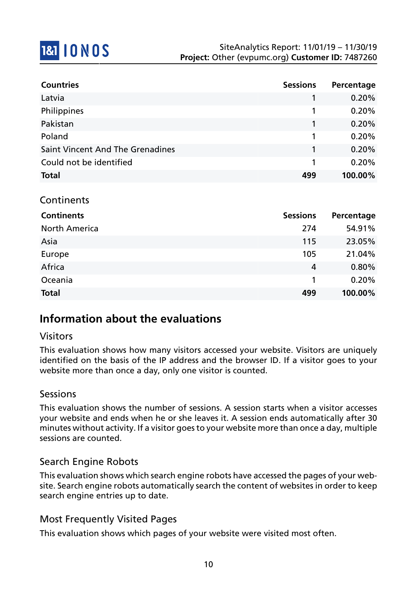

| <b>Countries</b>                        | <b>Sessions</b> | Percentage |
|-----------------------------------------|-----------------|------------|
| Latvia                                  |                 | 0.20%      |
| Philippines                             | 1               | 0.20%      |
| Pakistan                                |                 | 0.20%      |
| Poland                                  | 1               | 0.20%      |
| <b>Saint Vincent And The Grenadines</b> | 1               | 0.20%      |
| Could not be identified                 | 1               | 0.20%      |
| <b>Total</b>                            | 499             | 100.00%    |
|                                         |                 |            |

#### Continents

| <b>Continents</b>    | <b>Sessions</b> | Percentage |
|----------------------|-----------------|------------|
| <b>North America</b> | 274             | 54.91%     |
| Asia                 | 115             | 23.05%     |
| Europe               | 105             | 21.04%     |
| Africa               | 4               | 0.80%      |
| Oceania              |                 | 0.20%      |
| <b>Total</b>         | 499             | 100.00%    |

### **Information about the evaluations**

#### Visitors

This evaluation shows how many visitors accessed your website. Visitors are uniquely identified on the basis of the IP address and the browser ID. If a visitor goes to your website more than once a day, only one visitor is counted.

#### **Sessions**

This evaluation shows the number of sessions. A session starts when a visitor accesses your website and ends when he or she leaves it. A session ends automatically after 30 minutes without activity. If a visitor goes to your website more than once a day, multiple sessions are counted.

#### Search Engine Robots

This evaluation shows which search engine robots have accessed the pages of your website. Search engine robots automatically search the content of websites in order to keep search engine entries up to date.

### Most Frequently Visited Pages

This evaluation shows which pages of your website were visited most often.